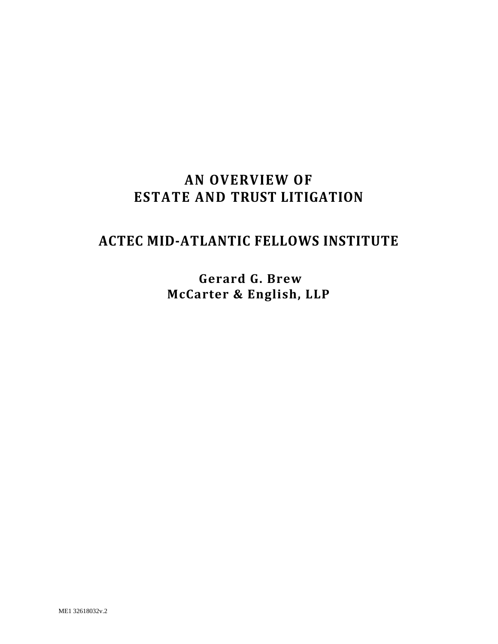# **AN OVERVIEW OF ESTATE AND TRUST LITIGATION**

# **ACTEC MID-ATLANTIC FELLOWS INSTITUTE**

**Gerard G. Brew McCarter & English, LLP**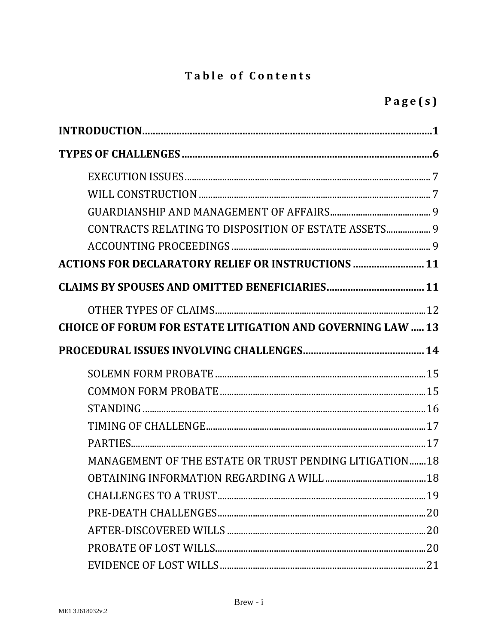## **Table of Contents**

| CONTRACTS RELATING TO DISPOSITION OF ESTATE ASSETS 9               |    |
|--------------------------------------------------------------------|----|
|                                                                    |    |
| <b>ACTIONS FOR DECLARATORY RELIEF OR INSTRUCTIONS  11</b>          |    |
|                                                                    |    |
|                                                                    |    |
| <b>CHOICE OF FORUM FOR ESTATE LITIGATION AND GOVERNING LAW  13</b> |    |
|                                                                    |    |
|                                                                    |    |
|                                                                    |    |
|                                                                    |    |
|                                                                    |    |
|                                                                    |    |
|                                                                    |    |
| MANAGEMENT OF THE ESTATE OR TRUST PENDING LITIGATION18             |    |
|                                                                    |    |
|                                                                    | 19 |
|                                                                    |    |
|                                                                    |    |
|                                                                    |    |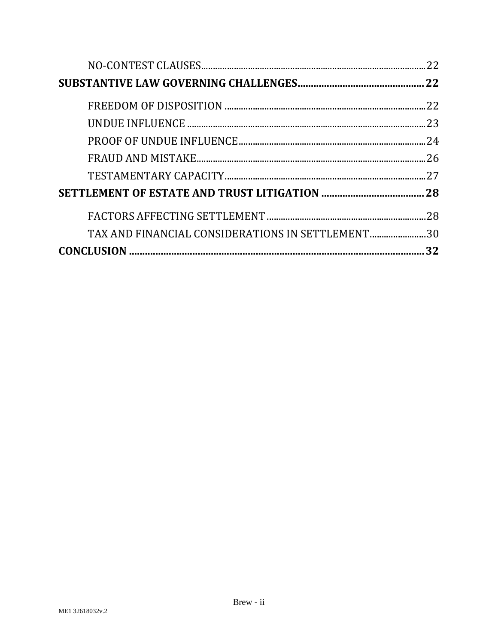|                                                  | 22  |
|--------------------------------------------------|-----|
|                                                  |     |
|                                                  | .22 |
|                                                  |     |
|                                                  |     |
|                                                  |     |
|                                                  |     |
|                                                  |     |
|                                                  | .28 |
| TAX AND FINANCIAL CONSIDERATIONS IN SETTLEMENT30 |     |
|                                                  | 32  |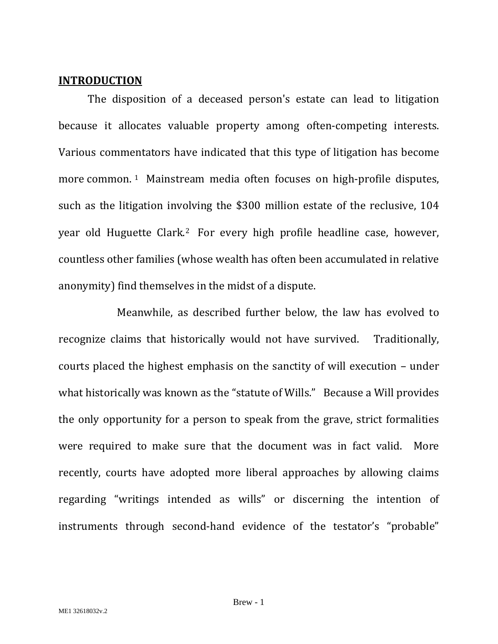#### <span id="page-3-0"></span>**INTRODUCTION**

The disposition of a deceased person's estate can lead to litigation because it allocates valuable property among often-competing interests. Various commentators have indicated that this type of litigation has become more common. [1](#page-39-0) Mainstream media often focuses on high-profile disputes, such as the litigation involving the \$300 million estate of the reclusive, 104 year old Huguette Clark.[2](#page-39-1) For every high profile headline case, however, countless other families (whose wealth has often been accumulated in relative anonymity) find themselves in the midst of a dispute.

Meanwhile, as described further below, the law has evolved to recognize claims that historically would not have survived. Traditionally, courts placed the highest emphasis on the sanctity of will execution – under what historically was known as the "statute of Wills." Because a Will provides the only opportunity for a person to speak from the grave, strict formalities were required to make sure that the document was in fact valid. More recently, courts have adopted more liberal approaches by allowing claims regarding "writings intended as wills" or discerning the intention of instruments through second-hand evidence of the testator's "probable"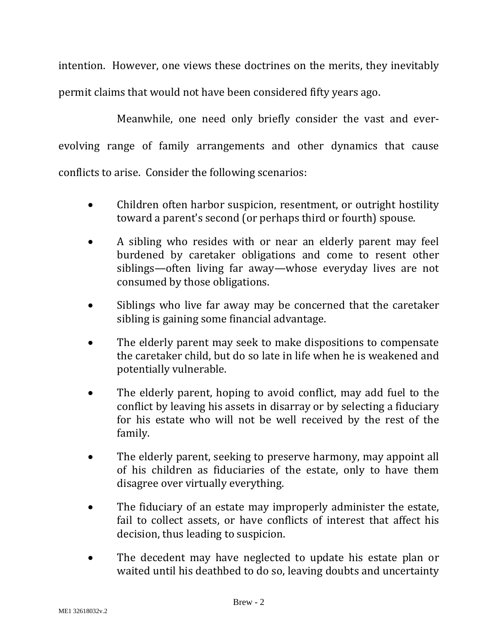intention. However, one views these doctrines on the merits, they inevitably permit claims that would not have been considered fifty years ago.

Meanwhile, one need only briefly consider the vast and everevolving range of family arrangements and other dynamics that cause conflicts to arise. Consider the following scenarios:

- Children often harbor suspicion, resentment, or outright hostility toward a parent's second (or perhaps third or fourth) spouse.
- A sibling who resides with or near an elderly parent may feel burdened by caretaker obligations and come to resent other siblings—often living far away—whose everyday lives are not consumed by those obligations.
- Siblings who live far away may be concerned that the caretaker sibling is gaining some financial advantage.
- The elderly parent may seek to make dispositions to compensate the caretaker child, but do so late in life when he is weakened and potentially vulnerable.
- The elderly parent, hoping to avoid conflict, may add fuel to the conflict by leaving his assets in disarray or by selecting a fiduciary for his estate who will not be well received by the rest of the family.
- The elderly parent, seeking to preserve harmony, may appoint all of his children as fiduciaries of the estate, only to have them disagree over virtually everything.
- The fiduciary of an estate may improperly administer the estate, fail to collect assets, or have conflicts of interest that affect his decision, thus leading to suspicion.
- The decedent may have neglected to update his estate plan or waited until his deathbed to do so, leaving doubts and uncertainty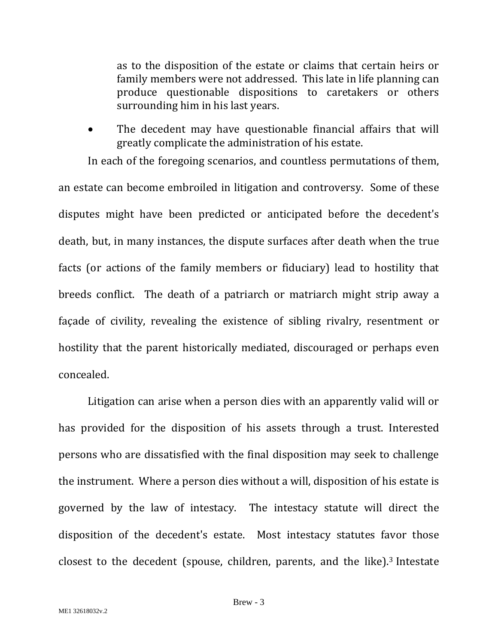as to the disposition of the estate or claims that certain heirs or family members were not addressed. This late in life planning can produce questionable dispositions to caretakers or others surrounding him in his last years.

The decedent may have questionable financial affairs that will greatly complicate the administration of his estate.

In each of the foregoing scenarios, and countless permutations of them, an estate can become embroiled in litigation and controversy. Some of these disputes might have been predicted or anticipated before the decedent's death, but, in many instances, the dispute surfaces after death when the true facts (or actions of the family members or fiduciary) lead to hostility that breeds conflict. The death of a patriarch or matriarch might strip away a façade of civility, revealing the existence of sibling rivalry, resentment or hostility that the parent historically mediated, discouraged or perhaps even concealed.

Litigation can arise when a person dies with an apparently valid will or has provided for the disposition of his assets through a trust. Interested persons who are dissatisfied with the final disposition may seek to challenge the instrument. Where a person dies without a will, disposition of his estate is governed by the law of intestacy. The intestacy statute will direct the disposition of the decedent's estate. Most intestacy statutes favor those closest to the decedent (spouse, children, parents, and the like).[3](#page-39-2) Intestate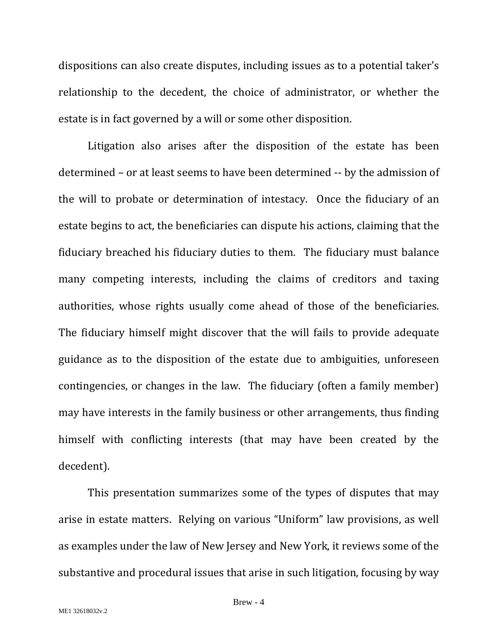dispositions can also create disputes, including issues as to a potential taker's relationship to the decedent, the choice of administrator, or whether the estate is in fact governed by a will or some other disposition.

Litigation also arises after the disposition of the estate has been determined – or at least seems to have been determined -- by the admission of the will to probate or determination of intestacy. Once the fiduciary of an estate begins to act, the beneficiaries can dispute his actions, claiming that the fiduciary breached his fiduciary duties to them. The fiduciary must balance many competing interests, including the claims of creditors and taxing authorities, whose rights usually come ahead of those of the beneficiaries. The fiduciary himself might discover that the will fails to provide adequate guidance as to the disposition of the estate due to ambiguities, unforeseen contingencies, or changes in the law. The fiduciary (often a family member) may have interests in the family business or other arrangements, thus finding himself with conflicting interests (that may have been created by the decedent).

This presentation summarizes some of the types of disputes that may arise in estate matters. Relying on various "Uniform" law provisions, as well as examples under the law of New Jersey and New York, it reviews some of the substantive and procedural issues that arise in such litigation, focusing by way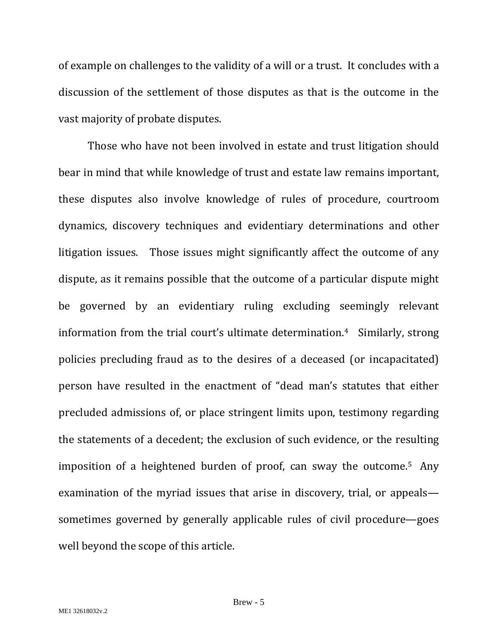of example on challenges to the validity of a will or a trust. It concludes with a discussion of the settlement of those disputes as that is the outcome in the vast majority of probate disputes.

Those who have not been involved in estate and trust litigation should bear in mind that while knowledge of trust and estate law remains important, these disputes also involve knowledge of rules of procedure, courtroom dynamics, discovery techniques and evidentiary determinations and other litigation issues. Those issues might significantly affect the outcome of any dispute, as it remains possible that the outcome of a particular dispute might be governed by an evidentiary ruling excluding seemingly relevant information from the trial court's ultimate determination.[4](#page-39-3) Similarly, strong policies precluding fraud as to the desires of a deceased (or incapacitated) person have resulted in the enactment of "dead man's statutes that either precluded admissions of, or place stringent limits upon, testimony regarding the statements of a decedent; the exclusion of such evidence, or the resulting imposition of a heightened burden of proof, can sway the outcome.[5](#page-39-4) Any examination of the myriad issues that arise in discovery, trial, or appeals sometimes governed by generally applicable rules of civil procedure—goes well beyond the scope of this article.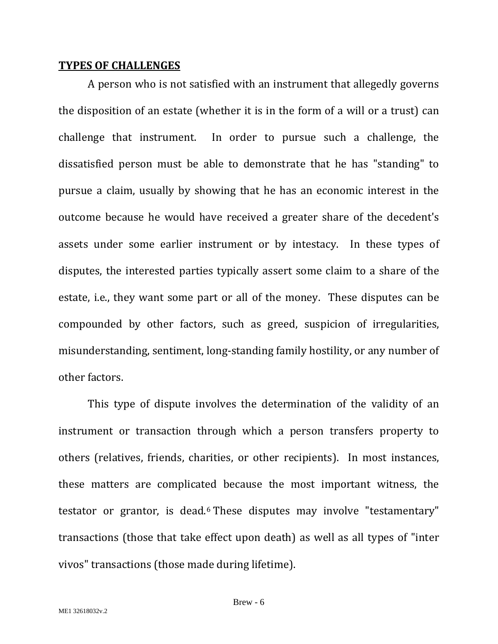#### <span id="page-8-0"></span>**TYPES OF CHALLENGES**

A person who is not satisfied with an instrument that allegedly governs the disposition of an estate (whether it is in the form of a will or a trust) can challenge that instrument. In order to pursue such a challenge, the dissatisfied person must be able to demonstrate that he has "standing" to pursue a claim, usually by showing that he has an economic interest in the outcome because he would have received a greater share of the decedent's assets under some earlier instrument or by intestacy. In these types of disputes, the interested parties typically assert some claim to a share of the estate, i.e., they want some part or all of the money. These disputes can be compounded by other factors, such as greed, suspicion of irregularities, misunderstanding, sentiment, long-standing family hostility, or any number of other factors.

This type of dispute involves the determination of the validity of an instrument or transaction through which a person transfers property to others (relatives, friends, charities, or other recipients). In most instances, these matters are complicated because the most important witness, the testator or grantor, is dead.[6](#page-39-5) These disputes may involve "testamentary" transactions (those that take effect upon death) as well as all types of "inter vivos" transactions (those made during lifetime).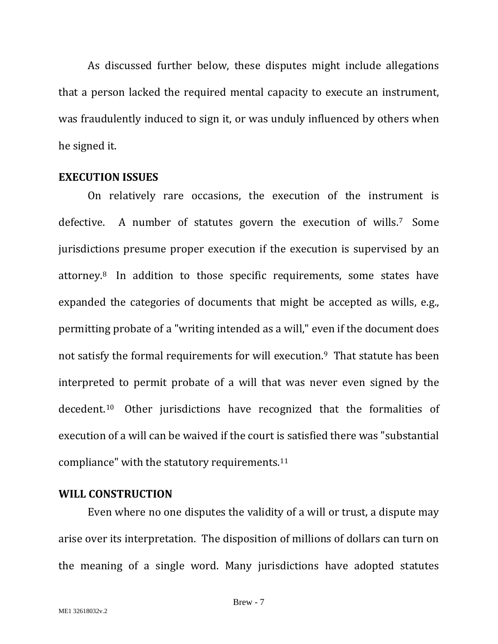As discussed further below, these disputes might include allegations that a person lacked the required mental capacity to execute an instrument, was fraudulently induced to sign it, or was unduly influenced by others when he signed it.

#### <span id="page-9-0"></span>**EXECUTION ISSUES**

On relatively rare occasions, the execution of the instrument is defective. A number of statutes govern the execution of wills.[7](#page-39-6) Some jurisdictions presume proper execution if the execution is supervised by an attorney.[8](#page-39-7) In addition to those specific requirements, some states have expanded the categories of documents that might be accepted as wills, e.g., permitting probate of a "writing intended as a will," even if the document does not satisfy the formal requirements for will execution[.9](#page-39-8) That statute has been interpreted to permit probate of a will that was never even signed by the decedent.[10](#page-39-9) Other jurisdictions have recognized that the formalities of execution of a will can be waived if the court is satisfied there was "substantial compliance" with the statutory requirements.[11](#page-39-10)

#### <span id="page-9-1"></span>**WILL CONSTRUCTION**

Even where no one disputes the validity of a will or trust, a dispute may arise over its interpretation. The disposition of millions of dollars can turn on the meaning of a single word. Many jurisdictions have adopted statutes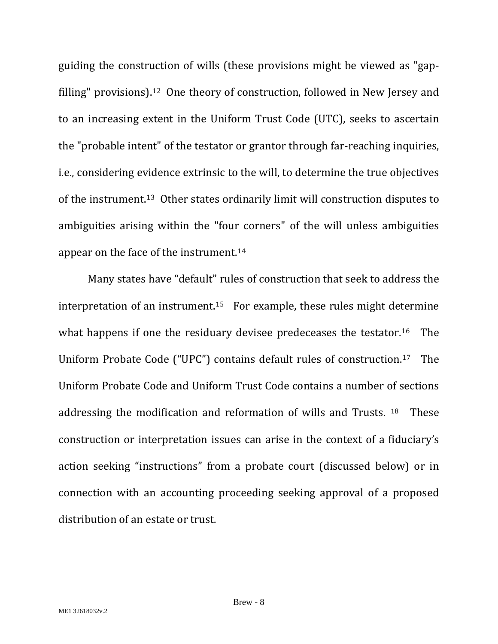guiding the construction of wills (these provisions might be viewed as "gapfilling" provisions).[12](#page-39-11) One theory of construction, followed in New Jersey and to an increasing extent in the Uniform Trust Code (UTC), seeks to ascertain the "probable intent" of the testator or grantor through far-reaching inquiries, i.e., considering evidence extrinsic to the will, to determine the true objectives of the instrument[.13](#page-39-12) Other states ordinarily limit will construction disputes to ambiguities arising within the "four corners" of the will unless ambiguities appear on the face of the instrument.[14](#page-39-13)

Many states have "default" rules of construction that seek to address the interpretation of an instrument.<sup>15</sup> For example, these rules might determine what happens if one the residuary devisee predeceases the testator.<sup>[16](#page-39-15)</sup> The Uniform Probate Code ("UPC") contains default rules of construction.[17](#page-39-16) The Uniform Probate Code and Uniform Trust Code contains a number of sections addressing the modification and reformation of wills and Trusts. [18](#page-39-17) These construction or interpretation issues can arise in the context of a fiduciary's action seeking "instructions" from a probate court (discussed below) or in connection with an accounting proceeding seeking approval of a proposed distribution of an estate or trust.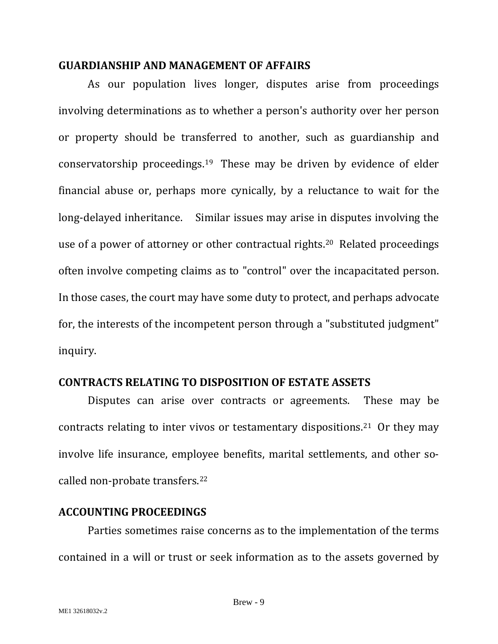## <span id="page-11-0"></span>**GUARDIANSHIP AND MANAGEMENT OF AFFAIRS**

As our population lives longer, disputes arise from proceedings involving determinations as to whether a person's authority over her person or property should be transferred to another, such as guardianship and conservatorship proceedings.[19](#page-39-18) These may be driven by evidence of elder financial abuse or, perhaps more cynically, by a reluctance to wait for the long-delayed inheritance. Similar issues may arise in disputes involving the use of a power of attorney or other contractual rights[.20](#page-39-19) Related proceedings often involve competing claims as to "control" over the incapacitated person. In those cases, the court may have some duty to protect, and perhaps advocate for, the interests of the incompetent person through a "substituted judgment" inquiry.

## <span id="page-11-1"></span>**CONTRACTS RELATING TO DISPOSITION OF ESTATE ASSETS**

Disputes can arise over contracts or agreements. These may be contracts relating to inter vivos or testamentary dispositions.[21](#page-39-20) Or they may involve life insurance, employee benefits, marital settlements, and other socalled non-probate transfers.[22](#page-39-21)

## <span id="page-11-2"></span>**ACCOUNTING PROCEEDINGS**

Parties sometimes raise concerns as to the implementation of the terms contained in a will or trust or seek information as to the assets governed by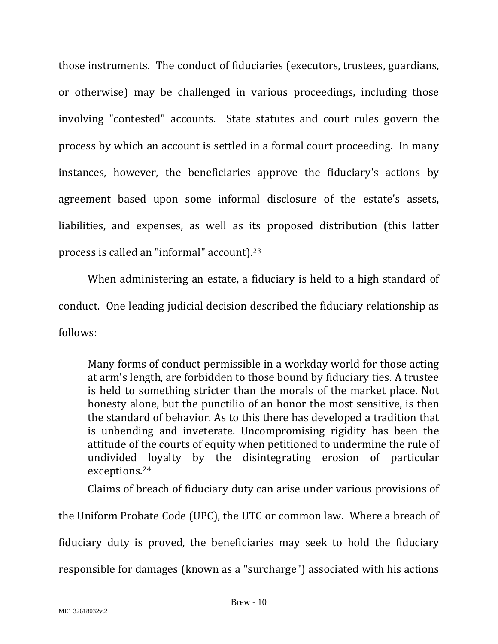those instruments. The conduct of fiduciaries (executors, trustees, guardians, or otherwise) may be challenged in various proceedings, including those involving "contested" accounts. State statutes and court rules govern the process by which an account is settled in a formal court proceeding. In many instances, however, the beneficiaries approve the fiduciary's actions by agreement based upon some informal disclosure of the estate's assets, liabilities, and expenses, as well as its proposed distribution (this latter process is called an "informal" account).[23](#page-39-22)

When administering an estate, a fiduciary is held to a high standard of conduct. One leading judicial decision described the fiduciary relationship as follows:

Many forms of conduct permissible in a workday world for those acting at arm's length, are forbidden to those bound by fiduciary ties. A trustee is held to something stricter than the morals of the market place. Not honesty alone, but the punctilio of an honor the most sensitive, is then the standard of behavior. As to this there has developed a tradition that is unbending and inveterate. Uncompromising rigidity has been the attitude of the courts of equity when petitioned to undermine the rule of undivided loyalty by the disintegrating erosion of particular exceptions.[24](#page-39-23)

Claims of breach of fiduciary duty can arise under various provisions of

the Uniform Probate Code (UPC), the UTC or common law. Where a breach of fiduciary duty is proved, the beneficiaries may seek to hold the fiduciary responsible for damages (known as a "surcharge") associated with his actions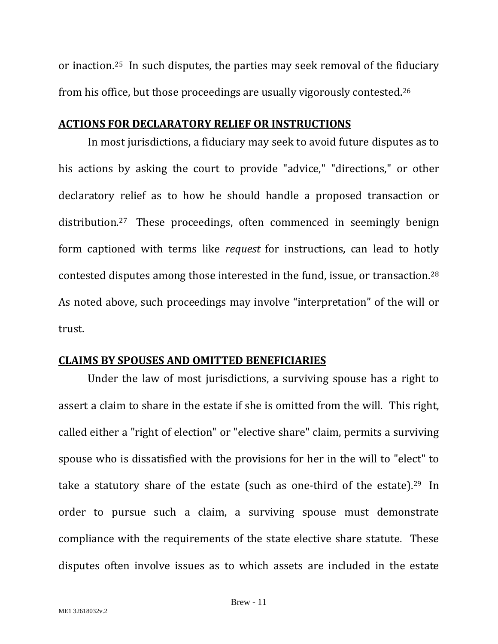or inaction.[25](#page-39-24) In such disputes, the parties may seek removal of the fiduciary from his office, but those proceedings are usually vigorously contested[.26](#page-39-25)

## <span id="page-13-0"></span>**ACTIONS FOR DECLARATORY RELIEF OR INSTRUCTIONS**

In most jurisdictions, a fiduciary may seek to avoid future disputes as to his actions by asking the court to provide "advice," "directions," or other declaratory relief as to how he should handle a proposed transaction or distribution.[27](#page-39-26) These proceedings, often commenced in seemingly benign form captioned with terms like *request* for instructions, can lead to hotly contested disputes among those interested in the fund, issue, or transaction.[28](#page-39-27) As noted above, such proceedings may involve "interpretation" of the will or trust.

## <span id="page-13-1"></span>**CLAIMS BY SPOUSES AND OMITTED BENEFICIARIES**

Under the law of most jurisdictions, a surviving spouse has a right to assert a claim to share in the estate if she is omitted from the will. This right, called either a "right of election" or "elective share" claim, permits a surviving spouse who is dissatisfied with the provisions for her in the will to "elect" to take a statutory share of the estate (such as one-third of the estate).<sup>29</sup> In order to pursue such a claim, a surviving spouse must demonstrate compliance with the requirements of the state elective share statute. These disputes often involve issues as to which assets are included in the estate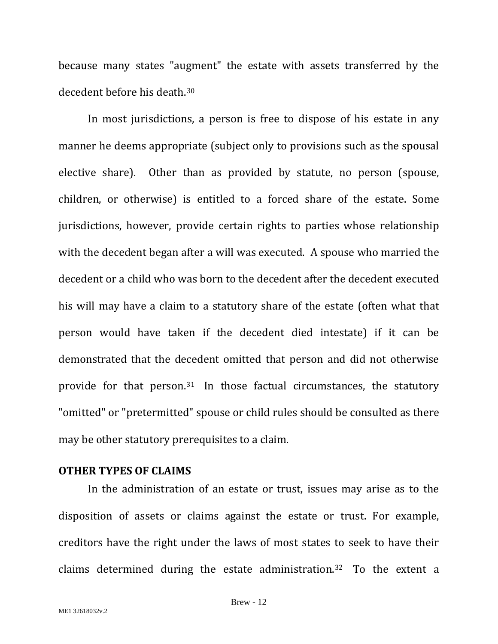because many states "augment" the estate with assets transferred by the decedent before his death.[30](#page-40-1)

In most jurisdictions, a person is free to dispose of his estate in any manner he deems appropriate (subject only to provisions such as the spousal elective share). Other than as provided by statute, no person (spouse, children, or otherwise) is entitled to a forced share of the estate. Some jurisdictions, however, provide certain rights to parties whose relationship with the decedent began after a will was executed. A spouse who married the decedent or a child who was born to the decedent after the decedent executed his will may have a claim to a statutory share of the estate (often what that person would have taken if the decedent died intestate) if it can be demonstrated that the decedent omitted that person and did not otherwise provide for that person.[31](#page-40-2) In those factual circumstances, the statutory "omitted" or "pretermitted" spouse or child rules should be consulted as there may be other statutory prerequisites to a claim.

#### <span id="page-14-0"></span>**OTHER TYPES OF CLAIMS**

In the administration of an estate or trust, issues may arise as to the disposition of assets or claims against the estate or trust. For example, creditors have the right under the laws of most states to seek to have their claims determined during the estate administration.[32](#page-40-3) To the extent a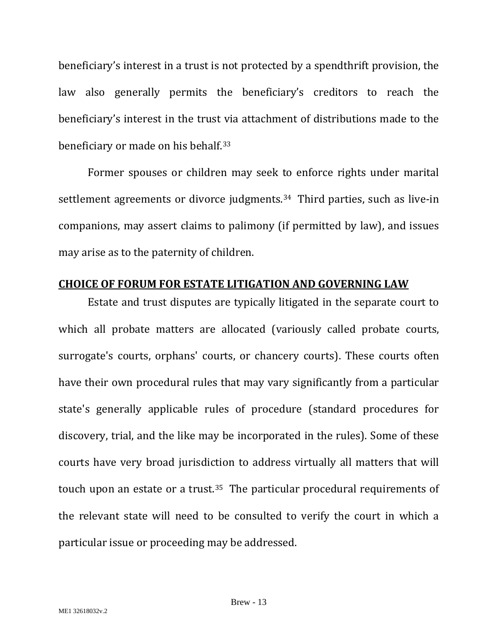beneficiary's interest in a trust is not protected by a spendthrift provision, the law also generally permits the beneficiary's creditors to reach the beneficiary's interest in the trust via attachment of distributions made to the beneficiary or made on his behalf.[33](#page-40-4)

Former spouses or children may seek to enforce rights under marital settlement agreements or divorce judgments.<sup>34</sup> Third parties, such as live-in companions, may assert claims to palimony (if permitted by law), and issues may arise as to the paternity of children.

## <span id="page-15-0"></span>**CHOICE OF FORUM FOR ESTATE LITIGATION AND GOVERNING LAW**

Estate and trust disputes are typically litigated in the separate court to which all probate matters are allocated (variously called probate courts, surrogate's courts, orphans' courts, or chancery courts). These courts often have their own procedural rules that may vary significantly from a particular state's generally applicable rules of procedure (standard procedures for discovery, trial, and the like may be incorporated in the rules). Some of these courts have very broad jurisdiction to address virtually all matters that will touch upon an estate or a trust.[35](#page-40-6) The particular procedural requirements of the relevant state will need to be consulted to verify the court in which a particular issue or proceeding may be addressed.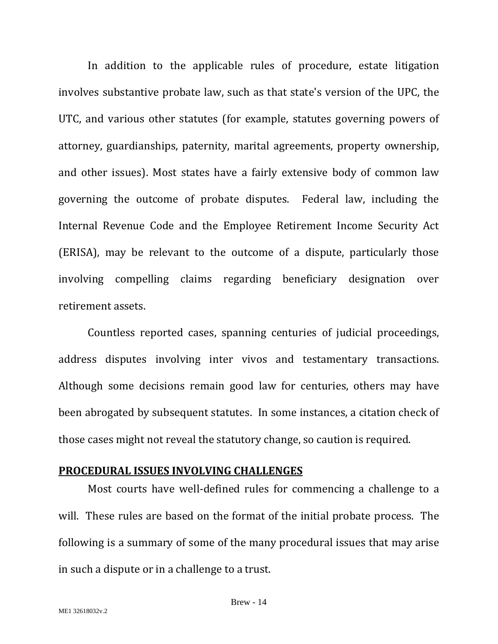In addition to the applicable rules of procedure, estate litigation involves substantive probate law, such as that state's version of the UPC, the UTC, and various other statutes (for example, statutes governing powers of attorney, guardianships, paternity, marital agreements, property ownership, and other issues). Most states have a fairly extensive body of common law governing the outcome of probate disputes. Federal law, including the Internal Revenue Code and the Employee Retirement Income Security Act (ERISA), may be relevant to the outcome of a dispute, particularly those involving compelling claims regarding beneficiary designation over retirement assets.

Countless reported cases, spanning centuries of judicial proceedings, address disputes involving inter vivos and testamentary transactions. Although some decisions remain good law for centuries, others may have been abrogated by subsequent statutes. In some instances, a citation check of those cases might not reveal the statutory change, so caution is required.

#### <span id="page-16-0"></span>**PROCEDURAL ISSUES INVOLVING CHALLENGES**

Most courts have well-defined rules for commencing a challenge to a will. These rules are based on the format of the initial probate process. The following is a summary of some of the many procedural issues that may arise in such a dispute or in a challenge to a trust.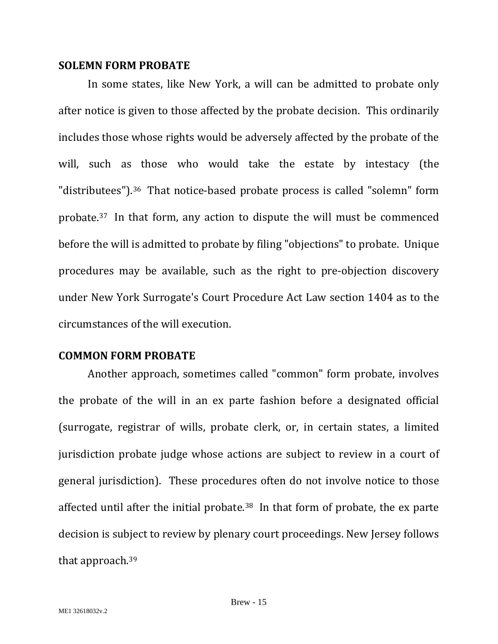#### <span id="page-17-0"></span>**SOLEMN FORM PROBATE**

In some states, like New York, a will can be admitted to probate only after notice is given to those affected by the probate decision. This ordinarily includes those whose rights would be adversely affected by the probate of the will, such as those who would take the estate by intestacy (the "distributees").<sup>36</sup> That notice-based probate process is called "solemn" form probate[.37](#page-40-8) In that form, any action to dispute the will must be commenced before the will is admitted to probate by filing "objections" to probate. Unique procedures may be available, such as the right to pre-objection discovery under New York Surrogate's Court Procedure Act Law section 1404 as to the circumstances of the will execution.

#### <span id="page-17-1"></span>**COMMON FORM PROBATE**

Another approach, sometimes called "common" form probate, involves the probate of the will in an ex parte fashion before a designated official (surrogate, registrar of wills, probate clerk, or, in certain states, a limited jurisdiction probate judge whose actions are subject to review in a court of general jurisdiction). These procedures often do not involve notice to those affected until after the initial probate.[38](#page-40-9) In that form of probate, the ex parte decision is subject to review by plenary court proceedings. New Jersey follows that approach.[39](#page-40-10)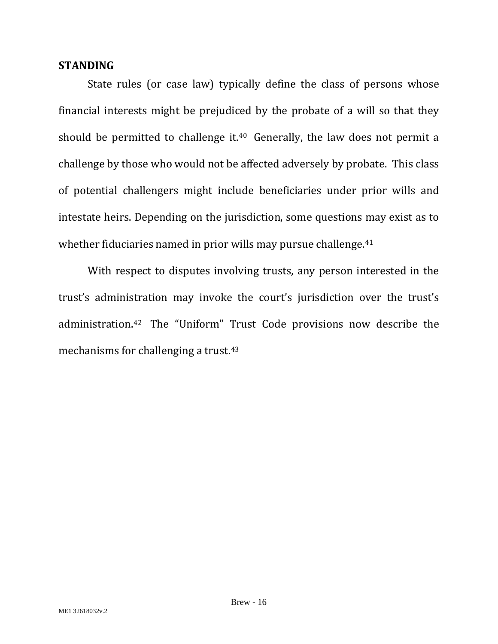## <span id="page-18-0"></span>**STANDING**

State rules (or case law) typically define the class of persons whose financial interests might be prejudiced by the probate of a will so that they should be permitted to challenge it.<sup>40</sup> Generally, the law does not permit a challenge by those who would not be affected adversely by probate. This class of potential challengers might include beneficiaries under prior wills and intestate heirs. Depending on the jurisdiction, some questions may exist as to whether fiduciaries named in prior wills may pursue challenge.<sup>[41](#page-40-12)</sup>

With respect to disputes involving trusts, any person interested in the trust's administration may invoke the court's jurisdiction over the trust's administration.[42](#page-40-13) The "Uniform" Trust Code provisions now describe the mechanisms for challenging a trust.[43](#page-40-14)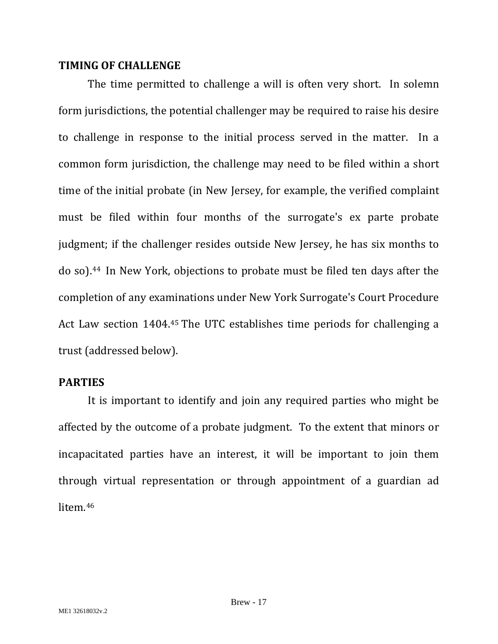## <span id="page-19-0"></span>**TIMING OF CHALLENGE**

The time permitted to challenge a will is often very short. In solemn form jurisdictions, the potential challenger may be required to raise his desire to challenge in response to the initial process served in the matter. In a common form jurisdiction, the challenge may need to be filed within a short time of the initial probate (in New Jersey, for example, the verified complaint must be filed within four months of the surrogate's ex parte probate judgment; if the challenger resides outside New Jersey, he has six months to do so).[44](#page-40-15) In New York, objections to probate must be filed ten days after the completion of any examinations under New York Surrogate's Court Procedure Act Law section 1404.[45](#page-40-16) The UTC establishes time periods for challenging a trust (addressed below).

## <span id="page-19-1"></span>**PARTIES**

It is important to identify and join any required parties who might be affected by the outcome of a probate judgment. To the extent that minors or incapacitated parties have an interest, it will be important to join them through virtual representation or through appointment of a guardian ad litem.[46](#page-40-17)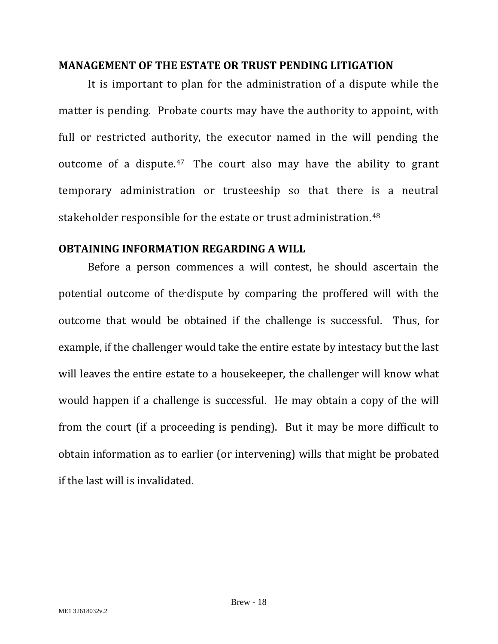## <span id="page-20-0"></span>**MANAGEMENT OF THE ESTATE OR TRUST PENDING LITIGATION**

It is important to plan for the administration of a dispute while the matter is pending. Probate courts may have the authority to appoint, with full or restricted authority, the executor named in the will pending the outcome of a dispute.[47](#page-40-18) The court also may have the ability to grant temporary administration or trusteeship so that there is a neutral stakeholder responsible for the estate or trust administration.<sup>[48](#page-40-19)</sup>

## <span id="page-20-1"></span>**OBTAINING INFORMATION REGARDING A WILL**

Before a person commences a will contest, he should ascertain the potential outcome of the-dispute by comparing the proffered will with the outcome that would be obtained if the challenge is successful. Thus, for example, if the challenger would take the entire estate by intestacy but the last will leaves the entire estate to a housekeeper, the challenger will know what would happen if a challenge is successful. He may obtain a copy of the will from the court (if a proceeding is pending). But it may be more difficult to obtain information as to earlier (or intervening) wills that might be probated if the last will is invalidated.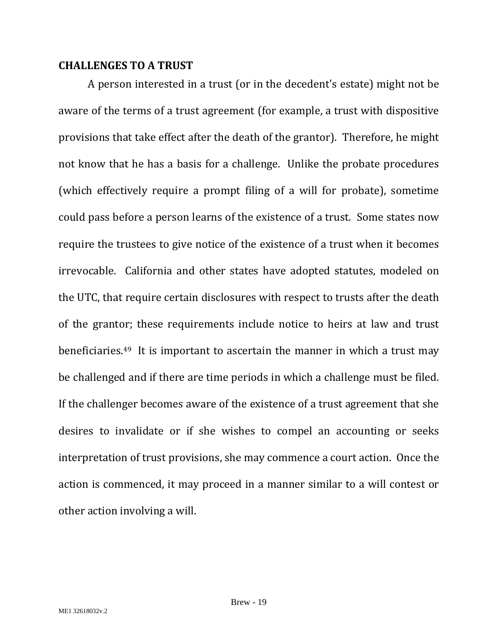## <span id="page-21-0"></span>**CHALLENGES TO A TRUST**

A person interested in a trust (or in the decedent's estate) might not be aware of the terms of a trust agreement (for example, a trust with dispositive provisions that take effect after the death of the grantor). Therefore, he might not know that he has a basis for a challenge. Unlike the probate procedures (which effectively require a prompt filing of a will for probate), sometime could pass before a person learns of the existence of a trust. Some states now require the trustees to give notice of the existence of a trust when it becomes irrevocable. California and other states have adopted statutes, modeled on the UTC, that require certain disclosures with respect to trusts after the death of the grantor; these requirements include notice to heirs at law and trust beneficiaries.[49](#page-40-20) It is important to ascertain the manner in which a trust may be challenged and if there are time periods in which a challenge must be filed. If the challenger becomes aware of the existence of a trust agreement that she desires to invalidate or if she wishes to compel an accounting or seeks interpretation of trust provisions, she may commence a court action. Once the action is commenced, it may proceed in a manner similar to a will contest or other action involving a will.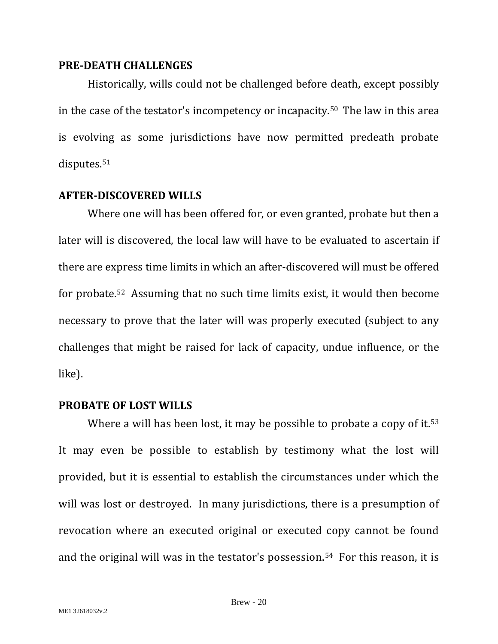#### <span id="page-22-0"></span>**PRE-DEATH CHALLENGES**

Historically, wills could not be challenged before death, except possibly in the case of the testator's incompetency or incapacity.[50](#page-40-21) The law in this area is evolving as some jurisdictions have now permitted predeath probate disputes.<sup>[51](#page-40-22)</sup>

#### <span id="page-22-1"></span>**AFTER-DISCOVERED WILLS**

Where one will has been offered for, or even granted, probate but then a later will is discovered, the local law will have to be evaluated to ascertain if there are express time limits in which an after-discovered will must be offered for probate.[52](#page-40-23) Assuming that no such time limits exist, it would then become necessary to prove that the later will was properly executed (subject to any challenges that might be raised for lack of capacity, undue influence, or the like).

#### <span id="page-22-2"></span>**PROBATE OF LOST WILLS**

Where a will has been lost, it may be possible to probate a copy of it.<sup>[53](#page-40-24)</sup> It may even be possible to establish by testimony what the lost will provided, but it is essential to establish the circumstances under which the will was lost or destroyed. In many jurisdictions, there is a presumption of revocation where an executed original or executed copy cannot be found and the original will was in the testator's possession.[54](#page-40-25) For this reason, it is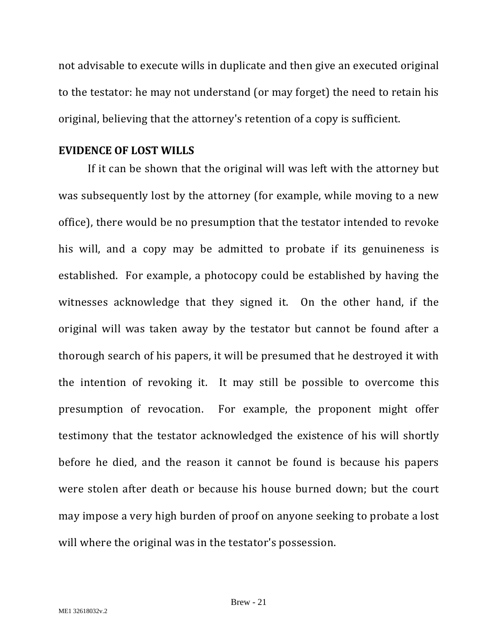not advisable to execute wills in duplicate and then give an executed original to the testator: he may not understand (or may forget) the need to retain his original, believing that the attorney's retention of a copy is sufficient.

#### <span id="page-23-0"></span>**EVIDENCE OF LOST WILLS**

If it can be shown that the original will was left with the attorney but was subsequently lost by the attorney (for example, while moving to a new office), there would be no presumption that the testator intended to revoke his will, and a copy may be admitted to probate if its genuineness is established. For example, a photocopy could be established by having the witnesses acknowledge that they signed it. On the other hand, if the original will was taken away by the testator but cannot be found after a thorough search of his papers, it will be presumed that he destroyed it with the intention of revoking it. It may still be possible to overcome this presumption of revocation. For example, the proponent might offer testimony that the testator acknowledged the existence of his will shortly before he died, and the reason it cannot be found is because his papers were stolen after death or because his house burned down; but the court may impose a very high burden of proof on anyone seeking to probate a lost will where the original was in the testator's possession.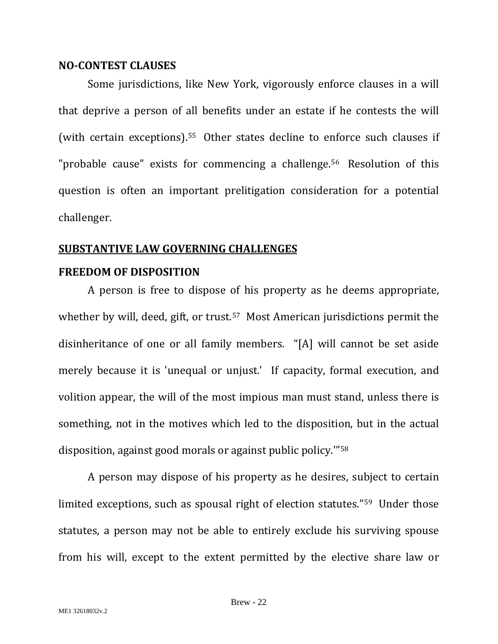#### <span id="page-24-0"></span>**NO-CONTEST CLAUSES**

Some jurisdictions, like New York, vigorously enforce clauses in a will that deprive a person of all benefits under an estate if he contests the will (with certain exceptions).[55](#page-40-26) Other states decline to enforce such clauses if "probable cause" exists for commencing a challenge.<sup>56</sup> Resolution of this question is often an important prelitigation consideration for a potential challenger.

## <span id="page-24-1"></span>**SUBSTANTIVE LAW GOVERNING CHALLENGES**

## <span id="page-24-2"></span>**FREEDOM OF DISPOSITION**

A person is free to dispose of his property as he deems appropriate, whether by will, deed, gift, or trust.<sup>57</sup> Most American jurisdictions permit the disinheritance of one or all family members. "[A] will cannot be set aside merely because it is 'unequal or unjust.' If capacity, formal execution, and volition appear, the will of the most impious man must stand, unless there is something, not in the motives which led to the disposition, but in the actual disposition, against good morals or against public policy.'"[58](#page-40-29)

A person may dispose of his property as he desires, subject to certain limited exceptions, such as spousal right of election statutes."[59](#page-40-30) Under those statutes, a person may not be able to entirely exclude his surviving spouse from his will, except to the extent permitted by the elective share law or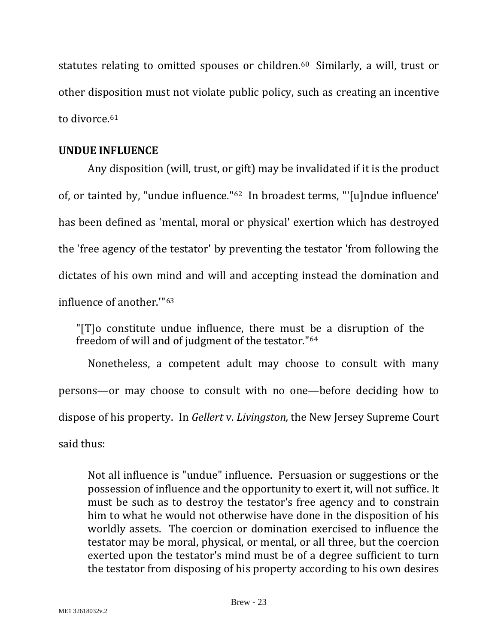statutes relating to omitted spouses or children.<sup>60</sup> Similarly, a will, trust or other disposition must not violate public policy, such as creating an incentive to divorce.<sup>[61](#page-40-32)</sup>

## <span id="page-25-0"></span>**UNDUE INFLUENCE**

Any disposition (will, trust, or gift) may be invalidated if it is the product of, or tainted by, "undue influence."[62](#page-40-33) In broadest terms, "'[u]ndue influence' has been defined as 'mental, moral or physical' exertion which has destroyed the 'free agency of the testator' by preventing the testator 'from following the dictates of his own mind and will and accepting instead the domination and influence of another.'"[63](#page-40-34)

"[T]o constitute undue influence, there must be a disruption of the freedom of will and of judgment of the testator."[64](#page-40-35)

Nonetheless, a competent adult may choose to consult with many persons—or may choose to consult with no one—before deciding how to dispose of his property. In *Gellert* v. *Livingston,* the New Jersey Supreme Court said thus:

Not all influence is "undue" influence. Persuasion or suggestions or the possession of influence and the opportunity to exert it, will not suffice. It must be such as to destroy the testator's free agency and to constrain him to what he would not otherwise have done in the disposition of his worldly assets. The coercion or domination exercised to influence the testator may be moral, physical, or mental, or all three, but the coercion exerted upon the testator's mind must be of a degree sufficient to turn the testator from disposing of his property according to his own desires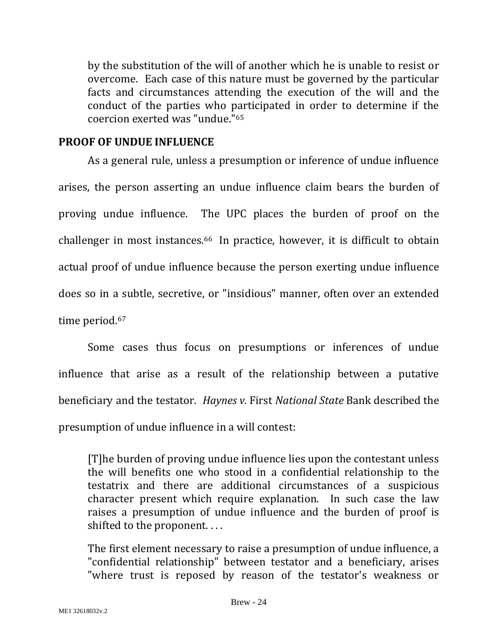by the substitution of the will of another which he is unable to resist or overcome. Each case of this nature must be governed by the particular facts and circumstances attending the execution of the will and the conduct of the parties who participated in order to determine if the coercion exerted was "undue."[65](#page-40-0)

## <span id="page-26-0"></span>**PROOF OF UNDUE INFLUENCE**

As a general rule, unless a presumption or inference of undue influence arises, the person asserting an undue influence claim bears the burden of proving undue influence. The UPC places the burden of proof on the challenger in most instances.[66](#page-40-1) In practice, however, it is difficult to obtain actual proof of undue influence because the person exerting undue influence does so in a subtle, secretive, or "insidious" manner, often over an extended time period.<sup>[67](#page-40-2)</sup>

Some cases thus focus on presumptions or inferences of undue influence that arise as a result of the relationship between a putative beneficiary and the testator. *Haynes v.* First *National State* Bank described the presumption of undue influence in a will contest:

[T]he burden of proving undue influence lies upon the contestant unless the will benefits one who stood in a confidential relationship to the testatrix and there are additional circumstances of a suspicious character present which require explanation. In such case the law raises a presumption of undue influence and the burden of proof is shifted to the proponent....

The first element necessary to raise a presumption of undue influence, a "confidential relationship" between testator and a beneficiary, arises "where trust is reposed by reason of the testator's weakness or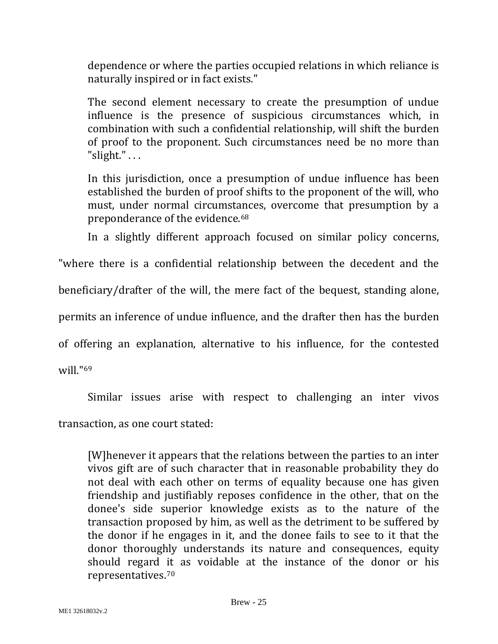dependence or where the parties occupied relations in which reliance is naturally inspired or in fact exists."

The second element necessary to create the presumption of undue influence is the presence of suspicious circumstances which, in combination with such a confidential relationship, will shift the burden of proof to the proponent. Such circumstances need be no more than " $slight."$ ...

In this jurisdiction, once a presumption of undue influence has been established the burden of proof shifts to the proponent of the will, who must, under normal circumstances, overcome that presumption by a preponderance of the evidence.[68](#page-40-3)

In a slightly different approach focused on similar policy concerns,

"where there is a confidential relationship between the decedent and the

beneficiary/drafter of the will, the mere fact of the bequest, standing alone,

permits an inference of undue influence, and the drafter then has the burden

of offering an explanation, alternative to his influence, for the contested

will."[69](#page-40-4)

Similar issues arise with respect to challenging an inter vivos

transaction, as one court stated:

[W]henever it appears that the relations between the parties to an inter vivos gift are of such character that in reasonable probability they do not deal with each other on terms of equality because one has given friendship and justifiably reposes confidence in the other, that on the donee's side superior knowledge exists as to the nature of the transaction proposed by him, as well as the detriment to be suffered by the donor if he engages in it, and the donee fails to see to it that the donor thoroughly understands its nature and consequences, equity should regard it as voidable at the instance of the donor or his representatives.[70](#page-40-6)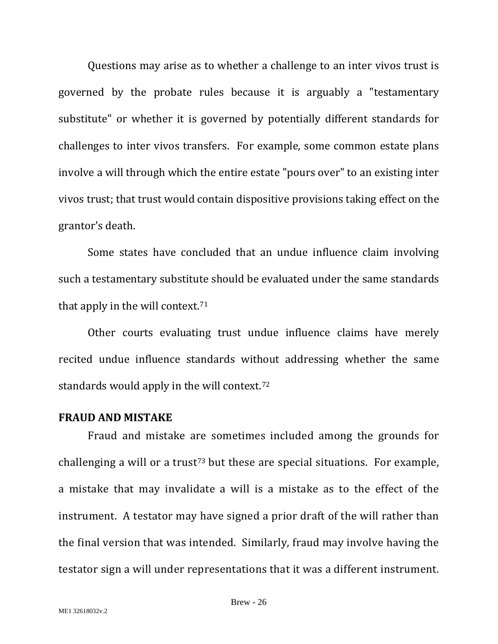Questions may arise as to whether a challenge to an inter vivos trust is governed by the probate rules because it is arguably a "testamentary substitute" or whether it is governed by potentially different standards for challenges to inter vivos transfers. For example, some common estate plans involve a will through which the entire estate "pours over" to an existing inter vivos trust; that trust would contain dispositive provisions taking effect on the grantor's death.

Some states have concluded that an undue influence claim involving such a testamentary substitute should be evaluated under the same standards that apply in the will context.[71](#page-40-7)

Other courts evaluating trust undue influence claims have merely recited undue influence standards without addressing whether the same standards would apply in the will context.[72](#page-40-14)

#### <span id="page-28-0"></span>**FRAUD AND MISTAKE**

Fraud and mistake are sometimes included among the grounds for challenging a will or a trust<sup>[73](#page-40-16)</sup> but these are special situations. For example, a mistake that may invalidate a will is a mistake as to the effect of the instrument. A testator may have signed a prior draft of the will rather than the final version that was intended. Similarly, fraud may involve having the testator sign a will under representations that it was a different instrument.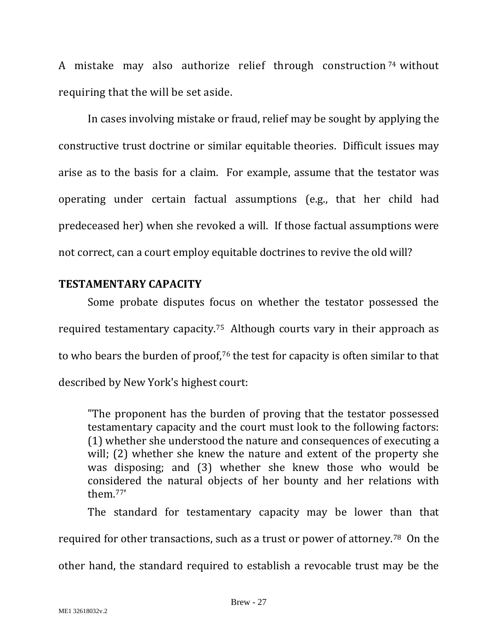A mistake may also authorize relief through construction<sup>[74](#page-40-17)</sup> without requiring that the will be set aside.

In cases involving mistake or fraud, relief may be sought by applying the constructive trust doctrine or similar equitable theories. Difficult issues may arise as to the basis for a claim. For example, assume that the testator was operating under certain factual assumptions (e.g., that her child had predeceased her) when she revoked a will. If those factual assumptions were not correct, can a court employ equitable doctrines to revive the old will?

## <span id="page-29-0"></span>**TESTAMENTARY CAPACITY**

Some probate disputes focus on whether the testator possessed the required testamentary capacity.[75](#page-40-36) Although courts vary in their approach as to who bears the burden of proof,[76](#page-40-18) the test for capacity is often similar to that described by New York's highest court:

"The proponent has the burden of proving that the testator possessed testamentary capacity and the court must look to the following factors: (1) whether she understood the nature and consequences of executing a will; (2) whether she knew the nature and extent of the property she was disposing; and (3) whether she knew those who would be considered the natural objects of her bounty and her relations with them.[77](#page-40-37)'

The standard for testamentary capacity may be lower than that

required for other transactions, such as a trust or power of attorney.[78](#page-40-19) On the

other hand, the standard required to establish a revocable trust may be the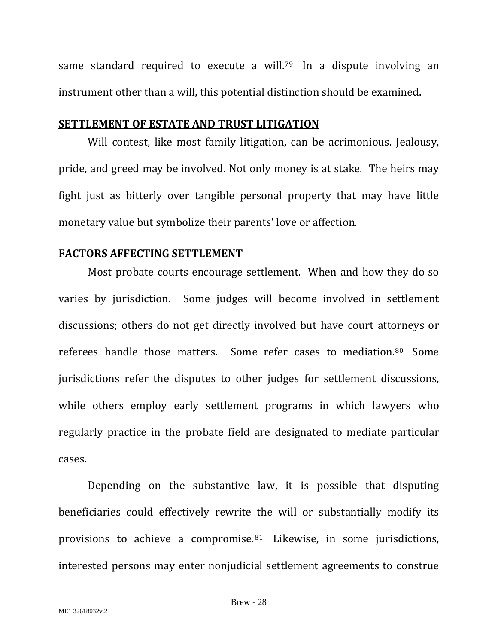same standard required to execute a will.<sup>79</sup> In a dispute involving an instrument other than a will, this potential distinction should be examined.

#### <span id="page-30-0"></span>**SETTLEMENT OF ESTATE AND TRUST LITIGATION**

Will contest, like most family litigation, can be acrimonious. Jealousy, pride, and greed may be involved. Not only money is at stake. The heirs may fight just as bitterly over tangible personal property that may have little monetary value but symbolize their parents' love or affection.

### <span id="page-30-1"></span>**FACTORS AFFECTING SETTLEMENT**

Most probate courts encourage settlement. When and how they do so varies by jurisdiction. Some judges will become involved in settlement discussions; others do not get directly involved but have court attorneys or referees handle those matters. Some refer cases to mediation.[80](#page-40-39) Some jurisdictions refer the disputes to other judges for settlement discussions, while others employ early settlement programs in which lawyers who regularly practice in the probate field are designated to mediate particular cases.

Depending on the substantive law, it is possible that disputing beneficiaries could effectively rewrite the will or substantially modify its provisions to achieve a compromise.[81](#page-40-20) Likewise, in some jurisdictions, interested persons may enter nonjudicial settlement agreements to construe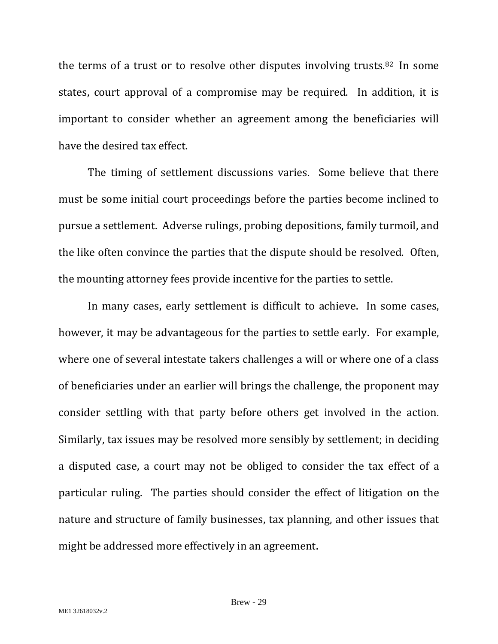the terms of a trust or to resolve other disputes involving trusts.[82](#page-40-40) In some states, court approval of a compromise may be required. In addition, it is important to consider whether an agreement among the beneficiaries will have the desired tax effect.

The timing of settlement discussions varies. Some believe that there must be some initial court proceedings before the parties become inclined to pursue a settlement. Adverse rulings, probing depositions, family turmoil, and the like often convince the parties that the dispute should be resolved. Often, the mounting attorney fees provide incentive for the parties to settle.

In many cases, early settlement is difficult to achieve. In some cases, however, it may be advantageous for the parties to settle early. For example, where one of several intestate takers challenges a will or where one of a class of beneficiaries under an earlier will brings the challenge, the proponent may consider settling with that party before others get involved in the action. Similarly, tax issues may be resolved more sensibly by settlement; in deciding a disputed case, a court may not be obliged to consider the tax effect of a particular ruling. The parties should consider the effect of litigation on the nature and structure of family businesses, tax planning, and other issues that might be addressed more effectively in an agreement.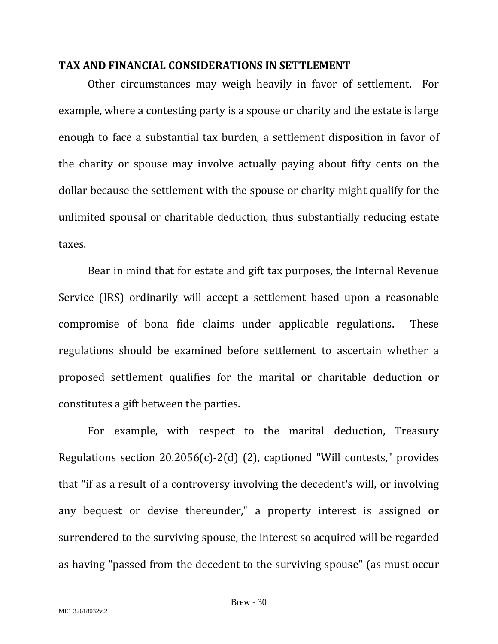#### <span id="page-32-0"></span>**TAX AND FINANCIAL CONSIDERATIONS IN SETTLEMENT**

Other circumstances may weigh heavily in favor of settlement. For example, where a contesting party is a spouse or charity and the estate is large enough to face a substantial tax burden, a settlement disposition in favor of the charity or spouse may involve actually paying about fifty cents on the dollar because the settlement with the spouse or charity might qualify for the unlimited spousal or charitable deduction, thus substantially reducing estate taxes.

Bear in mind that for estate and gift tax purposes, the Internal Revenue Service (IRS) ordinarily will accept a settlement based upon a reasonable compromise of bona fide claims under applicable regulations. These regulations should be examined before settlement to ascertain whether a proposed settlement qualifies for the marital or charitable deduction or constitutes a gift between the parties.

For example, with respect to the marital deduction, Treasury Regulations section 20.2056(c)-2(d) (2), captioned "Will contests," provides that "if as a result of a controversy involving the decedent's will, or involving any bequest or devise thereunder," a property interest is assigned or surrendered to the surviving spouse, the interest so acquired will be regarded as having "passed from the decedent to the surviving spouse" (as must occur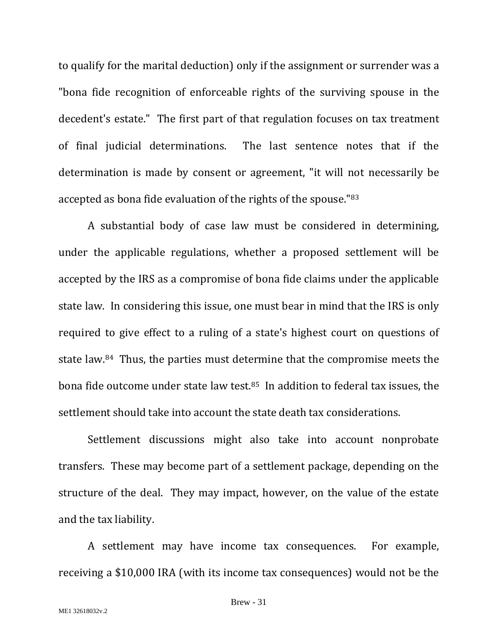to qualify for the marital deduction) only if the assignment or surrender was a "bona fide recognition of enforceable rights of the surviving spouse in the decedent's estate." The first part of that regulation focuses on tax treatment of final judicial determinations. The last sentence notes that if the determination is made by consent or agreement, "it will not necessarily be accepted as bona fide evaluation of the rights of the spouse."[83](#page-40-41)

A substantial body of case law must be considered in determining, under the applicable regulations, whether a proposed settlement will be accepted by the IRS as a compromise of bona fide claims under the applicable state law. In considering this issue, one must bear in mind that the IRS is only required to give effect to a ruling of a state's highest court on questions of state law.[84](#page-40-42) Thus, the parties must determine that the compromise meets the bona fide outcome under state law test.[85](#page-40-43) In addition to federal tax issues, the settlement should take into account the state death tax considerations.

Settlement discussions might also take into account nonprobate transfers. These may become part of a settlement package, depending on the structure of the deal. They may impact, however, on the value of the estate and the tax liability.

A settlement may have income tax consequences. For example, receiving a \$10,000 IRA (with its income tax consequences) would not be the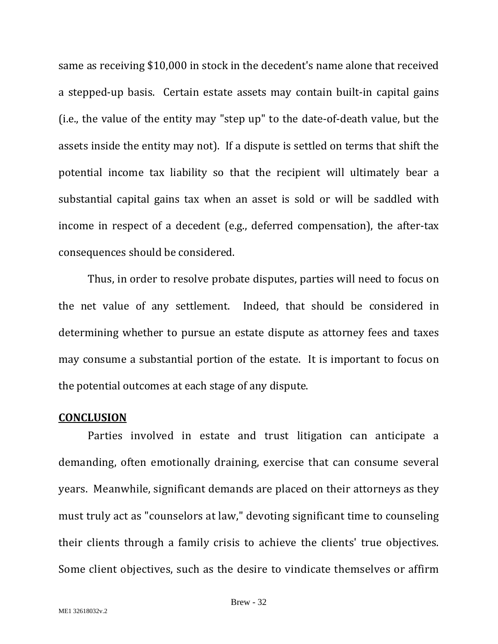same as receiving \$10,000 in stock in the decedent's name alone that received a stepped-up basis. Certain estate assets may contain built-in capital gains (i.e., the value of the entity may "step up" to the date-of-death value, but the assets inside the entity may not). If a dispute is settled on terms that shift the potential income tax liability so that the recipient will ultimately bear a substantial capital gains tax when an asset is sold or will be saddled with income in respect of a decedent (e.g., deferred compensation), the after-tax consequences should be considered.

Thus, in order to resolve probate disputes, parties will need to focus on the net value of any settlement. Indeed, that should be considered in determining whether to pursue an estate dispute as attorney fees and taxes may consume a substantial portion of the estate. It is important to focus on the potential outcomes at each stage of any dispute.

#### <span id="page-34-0"></span>**CONCLUSION**

Parties involved in estate and trust litigation can anticipate a demanding, often emotionally draining, exercise that can consume several years. Meanwhile, significant demands are placed on their attorneys as they must truly act as "counselors at law," devoting significant time to counseling their clients through a family crisis to achieve the clients' true objectives. Some client objectives, such as the desire to vindicate themselves or affirm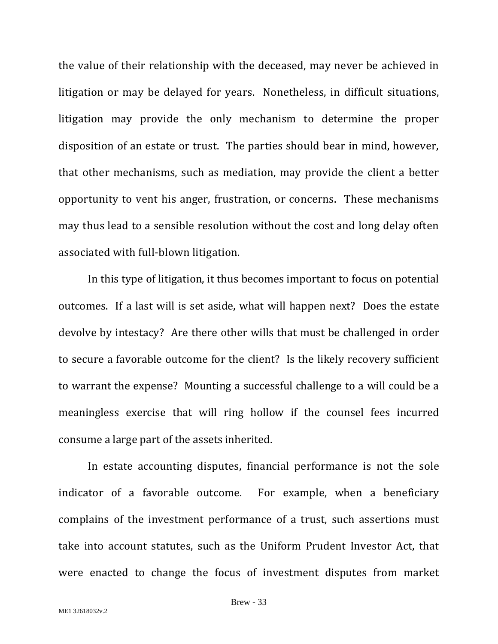the value of their relationship with the deceased, may never be achieved in litigation or may be delayed for years. Nonetheless, in difficult situations, litigation may provide the only mechanism to determine the proper disposition of an estate or trust. The parties should bear in mind, however, that other mechanisms, such as mediation, may provide the client a better opportunity to vent his anger, frustration, or concerns. These mechanisms may thus lead to a sensible resolution without the cost and long delay often associated with full-blown litigation.

In this type of litigation, it thus becomes important to focus on potential outcomes. If a last will is set aside, what will happen next? Does the estate devolve by intestacy? Are there other wills that must be challenged in order to secure a favorable outcome for the client? Is the likely recovery sufficient to warrant the expense? Mounting a successful challenge to a will could be a meaningless exercise that will ring hollow if the counsel fees incurred consume a large part of the assets inherited.

In estate accounting disputes, financial performance is not the sole indicator of a favorable outcome. For example, when a beneficiary complains of the investment performance of a trust, such assertions must take into account statutes, such as the Uniform Prudent Investor Act, that were enacted to change the focus of investment disputes from market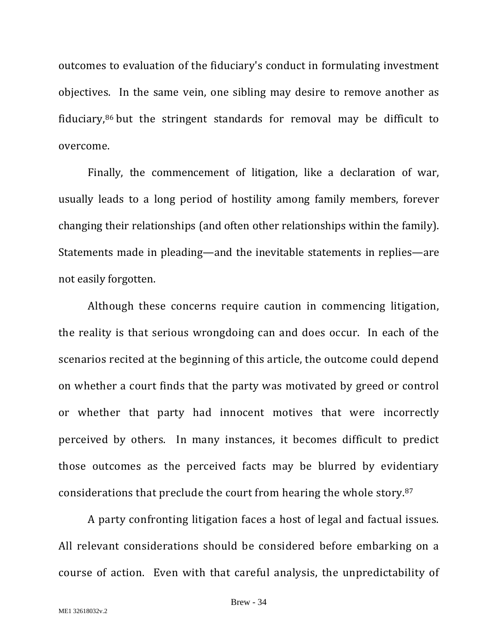outcomes to evaluation of the fiduciary's conduct in formulating investment objectives. In the same vein, one sibling may desire to remove another as fiduciary,[86](#page-40-44) but the stringent standards for removal may be difficult to overcome.

Finally, the commencement of litigation, like a declaration of war, usually leads to a long period of hostility among family members, forever changing their relationships (and often other relationships within the family). Statements made in pleading—and the inevitable statements in replies—are not easily forgotten.

Although these concerns require caution in commencing litigation, the reality is that serious wrongdoing can and does occur. In each of the scenarios recited at the beginning of this article, the outcome could depend on whether a court finds that the party was motivated by greed or control or whether that party had innocent motives that were incorrectly perceived by others. In many instances, it becomes difficult to predict those outcomes as the perceived facts may be blurred by evidentiary considerations that preclude the court from hearing the whole story.[87](#page-40-45)

A party confronting litigation faces a host of legal and factual issues. All relevant considerations should be considered before embarking on a course of action. Even with that careful analysis, the unpredictability of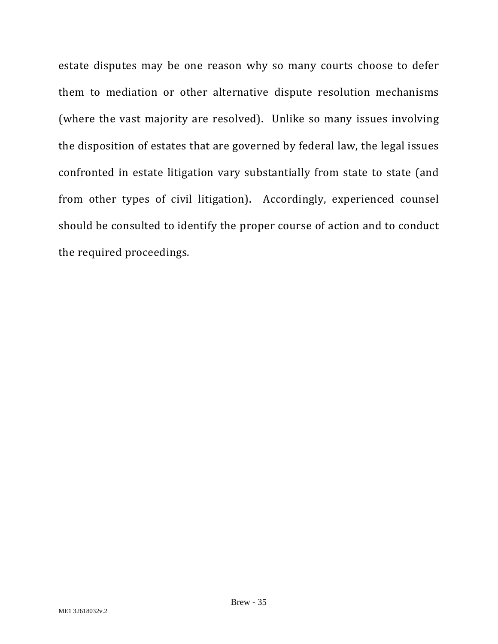estate disputes may be one reason why so many courts choose to defer them to mediation or other alternative dispute resolution mechanisms (where the vast majority are resolved). Unlike so many issues involving the disposition of estates that are governed by federal law, the legal issues confronted in estate litigation vary substantially from state to state (and from other types of civil litigation). Accordingly, experienced counsel should be consulted to identify the proper course of action and to conduct the required proceedings.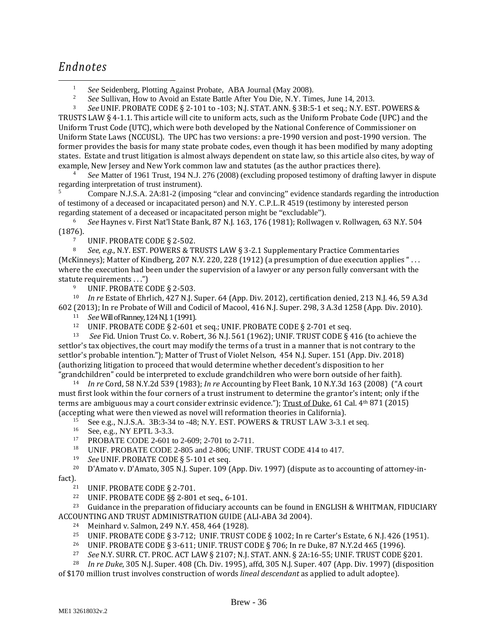## *Endnotes*

<sup>1</sup> *See* Seidenberg, Plotting Against Probate, ABA Journal (May 2008).

<sup>2</sup> *See* Sullivan, How to Avoid an Estate Battle After You Die, N.Y. Times, June 14, 2013.

<sup>3</sup> *See* UNIF. PROBATE CODE § 2-101 to -103; N.J. STAT. ANN. § 3B:5-1 et seq.; N.Y. EST. POWERS & TRUSTS LAW § 4-1.1. This article will cite to uniform acts, such as the Uniform Probate Code (UPC) and the Uniform Trust Code (UTC), which were both developed by the National Conference of Commissioner on Uniform State Laws (NCCUSL). The UPC has two versions: a pre-1990 version and post-1990 version. The former provides the basis for many state probate codes, even though it has been modified by many adopting states. Estate and trust litigation is almost always dependent on state law, so this article also cites, by way of example, New Jersey and New York common law and statutes (as the author practices there).

See Matter of 1961 Trust, 194 N.J. 276 (2008) (excluding proposed testimony of drafting lawyer in dispute regarding interpretation of trust instrument).

<sup>5</sup> Compare N.J.S.A. 2A:81-2 (imposing "clear and convincing" evidence standards regarding the introduction of testimony of a deceased or incapacitated person) and N.Y. C.P.L.R 4519 (testimony by interested person regarding statement of a deceased or incapacitated person might be "excludable").

<sup>6</sup> *See* Haynes v. First Nat'l State Bank, 87 N.J. 163, 176 (1981); Rollwagen v. Rollwagen, 63 N.Y. 504 (1876).

<sup>7</sup> UNIF. PROBATE CODE § 2-502.<br><sup>8</sup> See e.g. N.Y. EST. POWERS & TI

<sup>8</sup> *See, e.g.*, N.Y. EST. POWERS & TRUSTS LAW § 3-2.1 Supplementary Practice Commentaries (McKinneys); Matter of Kindberg, 207 N.Y. 220, 228 (1912) (a presumption of due execution applies " . . . where the execution had been under the supervision of a lawyer or any person fully conversant with the statute requirements  $\dots$ ")

UNIF. PROBATE CODE § 2-503.

<sup>10</sup> *In re* Estate of Ehrlich, 427 N.J. Super. 64 (App. Div. 2012), certification denied, 213 N.J. 46, 59 A.3d 602 (2013); In re Probate of Will and Codicil of Macool, 416 N.J. Super. 298, 3 A.3d 1258 (App. Div. 2010).

<sup>11</sup> *See* Will of Ranney, 124 N.J. 1 (1991).

<sup>12</sup> UNIF. PROBATE CODE § 2-601 et seq.; UNIF. PROBATE CODE § 2-701 et seq.<br><sup>13</sup> See Fid. Union Trust Co. v. Bobert, 36 N.I. 561 (1962): UNIF. TRUST CODE & 4

<sup>13</sup> *See* Fid. Union Trust Co. v. Robert, 36 N.J. 561 (1962); UNIF. TRUST CODE § 416 (to achieve the settlor's tax objectives, the court may modify the terms of a trust in a manner that is not contrary to the settlor's probable intention."); Matter of Trust of Violet Nelson, 454 N.J. Super. 151 (App. Div. 2018) (authorizing litigation to proceed that would determine whether decedent's disposition to her<br>"grandchildren" could be interpreted to exclude grandchildren who were born outside of her faith).

<sup>14</sup> In re Cord, 58 N.Y.2d 539 (1983); *In re* Accounting by Fleet Bank, 10 N.Y.3d 163 (2008) ("A court must first look within the four corners of a trust instrument to determine the grantor's intent; only if the terms are ambiguous may a court consider extrinsic evidence."); Trust of Duke, 61 Cal.  $4<sup>th</sup> 871$  (2015) (accepting what were then viewed as novel will reformation theories in California).

<sup>15</sup> See e.g., N.J.S.A. 3B:3-34 to -48; N.Y. EST. POWERS & TRUST LAW 3-3.1 et seq.<br>
<sup>16</sup> See, e.g., NY EPTL 3-3.3.<br>
<sup>17</sup> PROBATE CODE 2-601 to 2-609; 2-701 to 2-711.<br>
<sup>18</sup> INIE PROBATE CODE 2-805 and 2-806; INIE TRUST COD

UNIF. PROBATE CODE 2-805 and 2-806; UNIF. TRUST CODE 414 to 417.

<sup>19</sup> *See* UNIF. PROBATE CODE § 5-101 et seq.

<sup>20</sup> D'Amato v. D'Amato, 305 N.J. Super. 109 (App. Div. 1997) (dispute as to accounting of attorney-in-<br>fact).

<sup>21</sup> UNIF. PROBATE CODE § 2-701.

<sup>22</sup> UNIF. PROBATE CODE §§ 2-801 et seq., 6-101.

<sup>23</sup> Guidance in the preparation of fiduciary accounts can be found in ENGLISH & WHITMAN, FIDUCIARY ACCOUNTING AND TRUST ADMINISTRATION GUIDE (ALI-ABA 3d 2004).

- <sup>24</sup> Meinhard v. Salmon, 249 N.Y. 458, 464 (1928).
- <sup>25</sup> UNIF. PROBATE CODE § 3-712; UNIF. TRUST CODE § 1002; In re Carter's Estate, 6 N.J. 426 (1951).
- <sup>26</sup> UNIF. PROBATE CODE § 3-611; UNIF. TRUST CODE § 706; In re Duke, 87 N.Y.2d 465 (1996).<br>27 See N.Y. SURR, CT. PROC. ACT LAW & 2107; N.J. STAT, ANN, & 24:16-55; UNIF. TRUST CODE &

<sup>27</sup> *See* N.Y. SURR. CT. PROC. ACT LAW § 2107; N.J. STAT. ANN. § 2A:16-55; UNIF. TRUST CODE §201.

<sup>28</sup> *In re Duke*, 305 N.J. Super. 408 (Ch. Div. 1995), affd, 305 N.J. Super. 407 (App. Div. 1997) (disposition of \$170 million trust involves construction of words *lineal descendant* as applied to adult adoptee).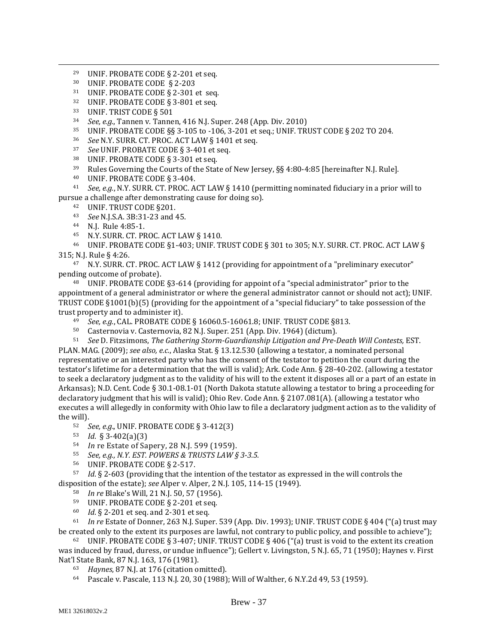- <sup>29</sup> UNIF. PROBATE CODE  $\S$  2-201 et seq.<br><sup>30</sup> UNIF. PROBATE CODE  $\S$  2-203
- $30$  UNIF. PROBATE CODE  $\S$  2-203<br> $31$  UNIF PROBATE CODE  $\S$  2-301
- <span id="page-39-1"></span><span id="page-39-0"></span><sup>31</sup> UNIF. PROBATE CODE  $\S$  2-301 et seq.<br><sup>32</sup> UNIF. PROBATE CODE  $\S$  3-801 et seq.
- <span id="page-39-2"></span><sup>32</sup> UNIF. PROBATE CODE § 3-801 et seq.<br><sup>33</sup> UNIF. TRIST CODE § 501
- 
- 34 See, e.g., Tannen v. Tannen, 416 N.J. Super. 248 (App. Div. 2010)<br>35 **UNIF. PROBATE CODE 88 3-105 to -106** 3-201 et seq UNIF. TRI
- <sup>35</sup> UNIF. PROBATE CODE §§ 3-105 to -106, 3-201 et seq.; UNIF. TRUST CODE § 202 TO 204.<br><sup>36</sup> See N.V. SURR, CT. PROC. ACT LAW § 1401 et seq.
- <sup>36</sup> *See* N.Y. SURR. CT. PROC. ACT LAW § 1401 et seq.
- <sup>37</sup> *See* UNIF. PROBATE CODE § 3-401 et seq.
- $38$  UNIF. PROBATE CODE § 3-301 et seq.
- <sup>39</sup> Rules Governing the Courts of the State of New Jersey, §§ 4:80-4:85 [hereinafter N.J. Rule].<br><sup>40</sup> UNIE PROBATE CODE 8.3-404
- <sup>40</sup> UNIF. PROBATE CODE § 3-404.
- <span id="page-39-4"></span><span id="page-39-3"></span><sup>41</sup> *See, e.g.*, N.Y. SURR. CT. PROC. ACT LAW § 1410 (permitting nominated fiduciary in a prior will to pursue a challenge after demonstrating cause for doing so).
	- <sup>42</sup> UNIF. TRUST CODE §201.
	- <sup>43</sup> *See* N.J.S.A. 3B:31-23 and 45.
	- 44 N.J. Rule 4:85-1.
	- <sup>45</sup> N.Y. SURR. CT. PROC. ACT LAW § 1410.

<span id="page-39-7"></span><span id="page-39-6"></span><span id="page-39-5"></span><sup>46</sup> UNIF. PROBATE CODE §1-403; UNIF. TRUST CODE § 301 to 305; N.Y. SURR. CT. PROC. ACT LAW § 315; N.J. Rule § 4:26.

<sup>47</sup> N.Y. SURR. CT. PROC. ACT LAW § 1412 (providing for appointment of a "preliminary executor" pending outcome of probate).

<span id="page-39-9"></span><span id="page-39-8"></span><sup>48</sup> UNIF. PROBATE CODE §3-614 (providing for appoint of a "special administrator" prior to the appointment of a general administrator or where the general administrator cannot or should not act); UNIF. TRUST CODE §1001(b)(5) (providing for the appointment of a "special fiduciary" to take possession of the trust property and to administer it).<br> $^{49}$  See e.g. CAL PROBATE COD

- <sup>49</sup> *See, e.g.*, CAL. PROBATE CODE § 16060.5-16061.8; UNIF. TRUST CODE §813.<br><sup>50</sup> Casternovia y Casternovia 82 N I Super 251 (App. Div. 1964) (dictum)
- <sup>50</sup> Casternovia v. Casternovia, 82 N.J. Super. 251 (App. Div. 1964) (dictum).<br><sup>51</sup> See D. Fitzsimons. *The Gathering Storm-Guardianshin Litigation and Pre-I*

<span id="page-39-13"></span><span id="page-39-12"></span><span id="page-39-11"></span><span id="page-39-10"></span><sup>51</sup>*See* D. Fitzsimons, *The Gathering Storm-Guardianship Litigation and Pre-Death Will Contests,* EST. PLAN. MAG. (2009); *see also, e.c.*, Alaska Stat. § 13.12.530 (allowing a testator, a nominated personal representative or an interested party who has the consent of the testator to petition the court during the testator's lifetime for a determination that the will is valid); Ark. Code Ann. § 28-40-202. (allowing a testator to seek a declaratory judgment as to the validity of his will to the extent it disposes all or a part of an estate in Arkansas); N.D. Cent. Code § 30.1-08.1-01 (North Dakota statute allowing a testator to bring a proceeding for declaratory judgment that his will is valid); Ohio Rev. Code Ann. § 2107.081(A). (allowing a testator who executes a will allegedly in conformity with Ohio law to file a declaratory judgment action as to the validity of the will).

- <span id="page-39-14"></span><sup>52</sup> *See, e.g*., UNIF. PROBATE CODE § 3-412(3)
- 53 *Id*. § 3-402(a)(3)
- <sup>54</sup> *In* re Estate of Sapery, 28 N.J. 599 (1959).
- <sup>55</sup> *See, e.g., N.Y. EST. POWERS & TRUSTS LAW § 3-3.5.*
- <sup>56</sup> UNIF. PROBATE CODE § 2-517.

<span id="page-39-21"></span><span id="page-39-20"></span><span id="page-39-19"></span><span id="page-39-18"></span><span id="page-39-17"></span><span id="page-39-16"></span><span id="page-39-15"></span><sup>57</sup> *Id*. § 2-603 (providing that the intention of the testator as expressed in the will controls the disposition of the estate); *see* Alper v. Alper, 2 N.J. 105, 114-15 (1949).

- <sup>58</sup> *In re* Blake's Will, 21 N.J. 50, 57 (1956).
- <sup>59</sup> UNIF. PROBATE CODE § 2-201 et seq.<br><sup>60</sup> Id § 2-201 et seq. and 2-301 et seq.
- *Id.* § 2-201 et seq. and 2-301 et seq.

<span id="page-39-23"></span><span id="page-39-22"></span><sup>61</sup> *In re* Estate of Donner, 263 N.J. Super. 539 (App. Div. 1993); UNIF. TRUST CODE § 404 ("(a) trust may be created only to the extent its purposes are lawful, not contrary to public policy, and possible to achieve");

<span id="page-39-27"></span><span id="page-39-26"></span><span id="page-39-25"></span><span id="page-39-24"></span><sup>62</sup> UNIF. PROBATE CODE § 3-407; UNIF. TRUST CODE § 406 ("(a) trust is void to the extent its creation was induced by fraud, duress, or undue influence"); Gellert v. Livingston, 5 N.J. 65, 71 (1950); Haynes v. First<br>Nat'l State Bank, 87 N.J. 163, 176 (1981).

- 63 *Haynes*, 87 N.J. at 176 (citation omitted).
- <sup>64</sup> Pascale v. Pascale, 113 N.J. 20, 30 (1988); Will of Walther, 6 N.Y.2d 49, 53 (1959).